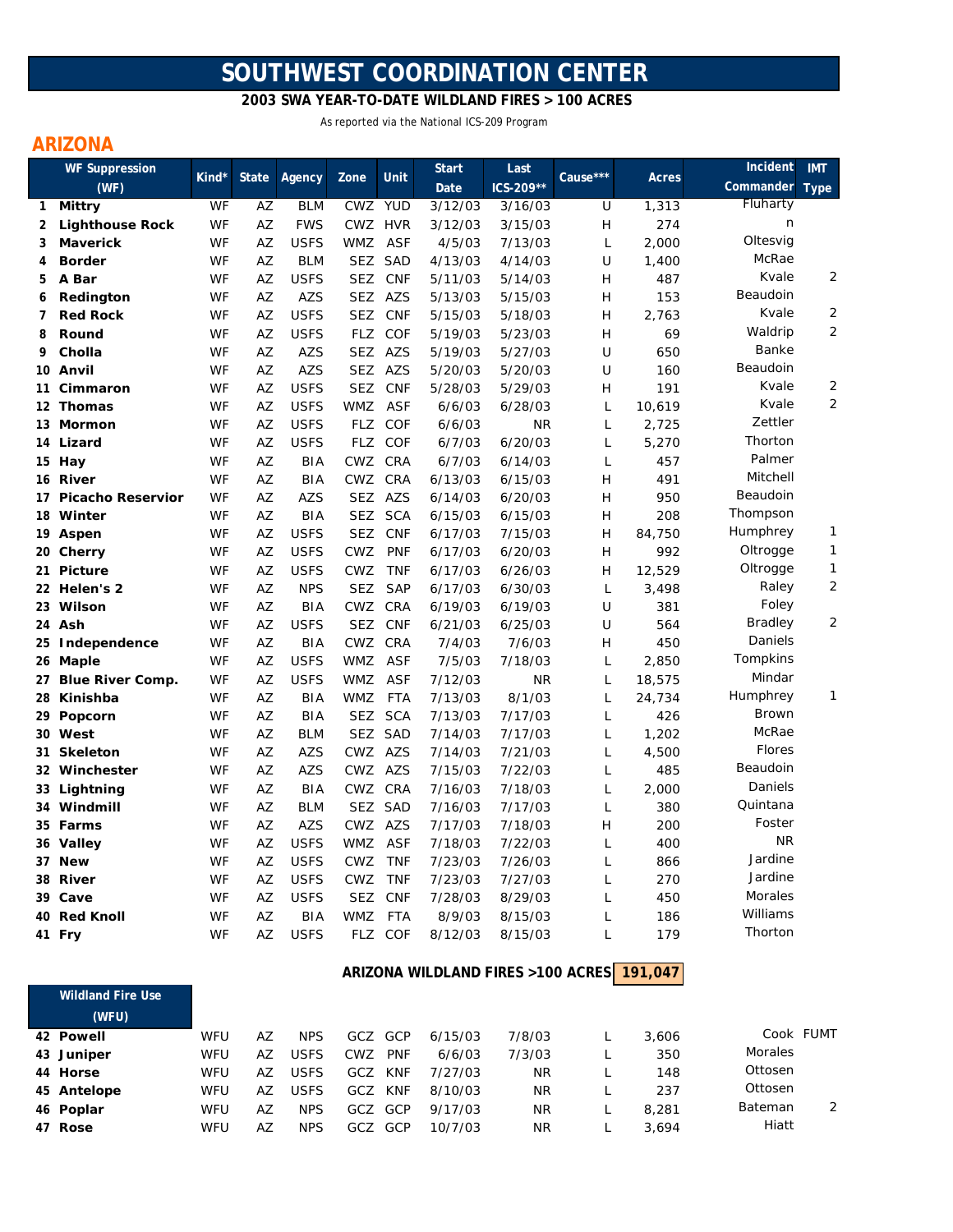# **SOUTHWEST COORDINATION CENTER**

 **2003 SWA YEAR-TO-DATE WILDLAND FIRES > 100 ACRES**

As reported via the National ICS-209 Program

# **ARIZONA**

|              | <b>WF Suppression</b>    | Kind* | <b>State</b> |             | Zone       | <b>Unit</b> | <b>Start</b> | Last      | Cause*** |        | Incident     | <b>IMT</b>     |
|--------------|--------------------------|-------|--------------|-------------|------------|-------------|--------------|-----------|----------|--------|--------------|----------------|
|              | (WF)                     |       |              | Agency      |            |             | Date         | ICS-209** |          | Acres  | Commander    | <b>Type</b>    |
| $\mathbf{1}$ | Mittry                   | WF    | AZ           | <b>BLM</b>  | <b>CWZ</b> | <b>YUD</b>  | 3/12/03      | 3/16/03   | U        | 1,313  | Fluharty     |                |
| 2            | <b>Lighthouse Rock</b>   | WF    | AZ           | <b>FWS</b>  | CWZ HVR    |             | 3/12/03      | 3/15/03   | H        | 274    | n            |                |
| 3            | <b>Maverick</b>          | WF    | AZ           | <b>USFS</b> | WMZ        | <b>ASF</b>  | 4/5/03       | 7/13/03   | L        | 2,000  | Oltesvig     |                |
| 4            | <b>Border</b>            | WF    | AZ           | <b>BLM</b>  |            | SEZ SAD     | 4/13/03      | 4/14/03   | U        | 1,400  | McRae        |                |
| 5            | A Bar                    | WF    | AZ           | <b>USFS</b> | SEZ        | <b>CNF</b>  | 5/11/03      | 5/14/03   | Н        | 487    | Kvale        | 2              |
| 6            | Redington                | WF    | AZ           | AZS         |            | SEZ AZS     | 5/13/03      | 5/15/03   | Н        | 153    | Beaudoin     |                |
| 7            | <b>Red Rock</b>          | WF    | AZ           | <b>USFS</b> | <b>SEZ</b> | <b>CNF</b>  | 5/15/03      | 5/18/03   | H        | 2,763  | Kvale        | $\overline{2}$ |
| 8            | Round                    | WF    | AZ           | <b>USFS</b> |            | FLZ COF     | 5/19/03      | 5/23/03   | H        | 69     | Waldrip      | $\overline{2}$ |
| 9            | Cholla                   | WF    | AZ           | <b>AZS</b>  |            | SEZ AZS     | 5/19/03      | 5/27/03   | U        | 650    | Banke        |                |
| 10           | Anvil                    | WF    | AZ           | <b>AZS</b>  | SEZ        | <b>AZS</b>  | 5/20/03      | 5/20/03   | U        | 160    | Beaudoin     |                |
| 11           | Cimmaron                 | WF    | AZ           | <b>USFS</b> | <b>SEZ</b> | <b>CNF</b>  | 5/28/03      | 5/29/03   | H        | 191    | Kvale        | 2              |
|              | 12 Thomas                | WF    | AZ           | <b>USFS</b> | WMZ        | ASF         | 6/6/03       | 6/28/03   | L        | 10,619 | Kvale        | 2              |
|              | 13 Mormon                | WF    | AZ           | <b>USFS</b> | FLZ        | <b>COF</b>  | 6/6/03       | <b>NR</b> | L        | 2,725  | Zettler      |                |
|              | 14 Lizard                | WF    | AZ           | <b>USFS</b> |            | FLZ COF     | 6/7/03       | 6/20/03   | L        | 5,270  | Thorton      |                |
|              | 15 Hay                   | WF    | AZ           | <b>BIA</b>  | CWZ CRA    |             | 6/7/03       | 6/14/03   | L        | 457    | Palmer       |                |
| 16           | River                    | WF    | AZ           | <b>BIA</b>  | CWZ        | CRA         | 6/13/03      | 6/15/03   | H        | 491    | Mitchell     |                |
| 17           | <b>Picacho Reservior</b> | WF    | AZ           | <b>AZS</b>  |            | SEZ AZS     | 6/14/03      | 6/20/03   | H        | 950    | Beaudoin     |                |
|              | 18 Winter                | WF    | AZ           | <b>BIA</b>  | SEZ        | <b>SCA</b>  | 6/15/03      | 6/15/03   | Н        | 208    | Thompson     |                |
|              | 19 Aspen                 | WF    | AZ           | <b>USFS</b> | <b>SEZ</b> | <b>CNF</b>  | 6/17/03      | 7/15/03   | Н        | 84,750 | Humphrey     | 1              |
|              | 20 Cherry                | WF    | AZ           | <b>USFS</b> | CWZ        | <b>PNF</b>  | 6/17/03      | 6/20/03   | Н        | 992    | Oltrogge     | 1              |
| 21           | <b>Picture</b>           | WF    | AZ           | <b>USFS</b> | <b>CWZ</b> | <b>TNF</b>  | 6/17/03      | 6/26/03   | H        | 12,529 | Oltrogge     | 1              |
|              | 22 Helen's 2             | WF    | AZ           | <b>NPS</b>  | <b>SEZ</b> | <b>SAP</b>  | 6/17/03      | 6/30/03   | L        | 3,498  | Raley        | 2              |
|              | 23 Wilson                | WF    | AZ           | <b>BIA</b>  | CWZ        | CRA         | 6/19/03      | 6/19/03   | U        | 381    | Foley        |                |
|              | 24 Ash                   | WF    | AZ           | <b>USFS</b> | <b>SEZ</b> | <b>CNF</b>  | 6/21/03      | 6/25/03   | U        | 564    | Bradley      | 2              |
|              | 25 Independence          | WF    | AZ           | <b>BIA</b>  | CWZ        | <b>CRA</b>  | 7/4/03       | 7/6/03    | Н        | 450    | Daniels      |                |
|              | 26 Maple                 | WF    | AZ           | <b>USFS</b> | WMZ        | ASF         | 7/5/03       | 7/18/03   | L        | 2,850  | Tompkins     |                |
| 27           | <b>Blue River Comp.</b>  | WF    | AZ           | <b>USFS</b> | WMZ        | <b>ASF</b>  | 7/12/03      | <b>NR</b> | L        | 18,575 | Mindar       |                |
| 28           | Kinishba                 | WF    | AZ           | <b>BIA</b>  | <b>WMZ</b> | FTA         | 7/13/03      | 8/1/03    | L        | 24,734 | Humphrey     | 1              |
| 29           | Popcorn                  | WF    | AZ           | <b>BIA</b>  | <b>SEZ</b> | <b>SCA</b>  | 7/13/03      | 7/17/03   | L        | 426    | <b>Brown</b> |                |
|              | 30 West                  | WF    | AZ           | <b>BLM</b>  | <b>SEZ</b> | <b>SAD</b>  | 7/14/03      | 7/17/03   | L        | 1,202  | McRae        |                |
| 31           | <b>Skeleton</b>          | WF    | AZ           | <b>AZS</b>  | CWZ AZS    |             | 7/14/03      | 7/21/03   | L        | 4,500  | Flores       |                |
|              | 32 Winchester            | WF    | AZ           | <b>AZS</b>  | CWZ AZS    |             | 7/15/03      | 7/22/03   | L        | 485    | Beaudoin     |                |
|              | 33 Lightning             | WF    | ΑZ           | BIA         | CWZ CRA    |             | 7/16/03      | 7/18/03   | L        | 2,000  | Daniels      |                |
| 34           | Windmill                 | WF    | AZ           | <b>BLM</b>  |            | SEZ SAD     | 7/16/03      | 7/17/03   | L        | 380    | Quintana     |                |
|              | 35 Farms                 | WF    | AZ           | <b>AZS</b>  | CWZ AZS    |             | 7/17/03      | 7/18/03   | H        | 200    | Foster       |                |
|              | 36 Valley                | WF    | AZ           | <b>USFS</b> | WMZ        | ASF         | 7/18/03      | 7/22/03   | L        | 400    | <b>NR</b>    |                |
| 37           | <b>New</b>               | WF    | AZ           | <b>USFS</b> | <b>CWZ</b> | <b>TNF</b>  | 7/23/03      | 7/26/03   | L        | 866    | Jardine      |                |
|              | 38 River                 | WF    | AZ           | <b>USFS</b> | <b>CWZ</b> | <b>TNF</b>  | 7/23/03      | 7/27/03   | L        | 270    | Jardine      |                |
|              | 39 Cave                  | WF    | AZ           | <b>USFS</b> | <b>SEZ</b> | <b>CNF</b>  | 7/28/03      | 8/29/03   | L        | 450    | Morales      |                |
| 40           | <b>Red Knoll</b>         | WF    | AZ           | <b>BIA</b>  | <b>WMZ</b> | <b>FTA</b>  | 8/9/03       | 8/15/03   | L        | 186    | Williams     |                |
|              | 41 Fry                   | WF    | AZ           | <b>USFS</b> |            | FLZ COF     | 8/12/03      | 8/15/03   | L        | 179    | Thorton      |                |
|              |                          |       |              |             |            |             |              |           |          |        |              |                |

#### **191,047 ARIZONA WILDLAND FIRES >100 ACRES**

| <b>Wildland Fire Use</b> |                                                                            |    |             |     |            |                          |        |       |           |  |
|--------------------------|----------------------------------------------------------------------------|----|-------------|-----|------------|--------------------------|--------|-------|-----------|--|
| (WFU)                    |                                                                            |    |             |     |            |                          |        |       |           |  |
|                          | WFU                                                                        | AZ | <b>NPS</b>  | GCZ |            | 6/15/03                  | 7/8/03 | 3,606 | Cook FUMT |  |
|                          | WFU                                                                        | AZ | <b>USFS</b> | CWZ | <b>PNF</b> | 6/6/03                   | 7/3/03 | 350   | Morales   |  |
|                          | WFU                                                                        | AZ | <b>USFS</b> | GCZ |            | 7/27/03                  | ΝR     | 148   | Ottosen   |  |
|                          | WFU                                                                        | AZ | <b>USFS</b> | GCZ | KNF        | 8/10/03                  | ΝR     | 237   | Ottosen   |  |
|                          | WFU                                                                        | AZ | <b>NPS</b>  | GCZ |            | 9/17/03                  | ΝR     | 8,281 | Bateman   |  |
|                          | WFU                                                                        | AZ | <b>NPS</b>  | GCZ | GCP        | 10/7/03                  | ΝR     | 3.694 | Hiatt     |  |
|                          | 42 Powell<br>43 Juniper<br>44 Horse<br>45 Antelope<br>46 Poplar<br>47 Rose |    |             |     |            | GCP<br><b>KNF</b><br>GCP |        |       |           |  |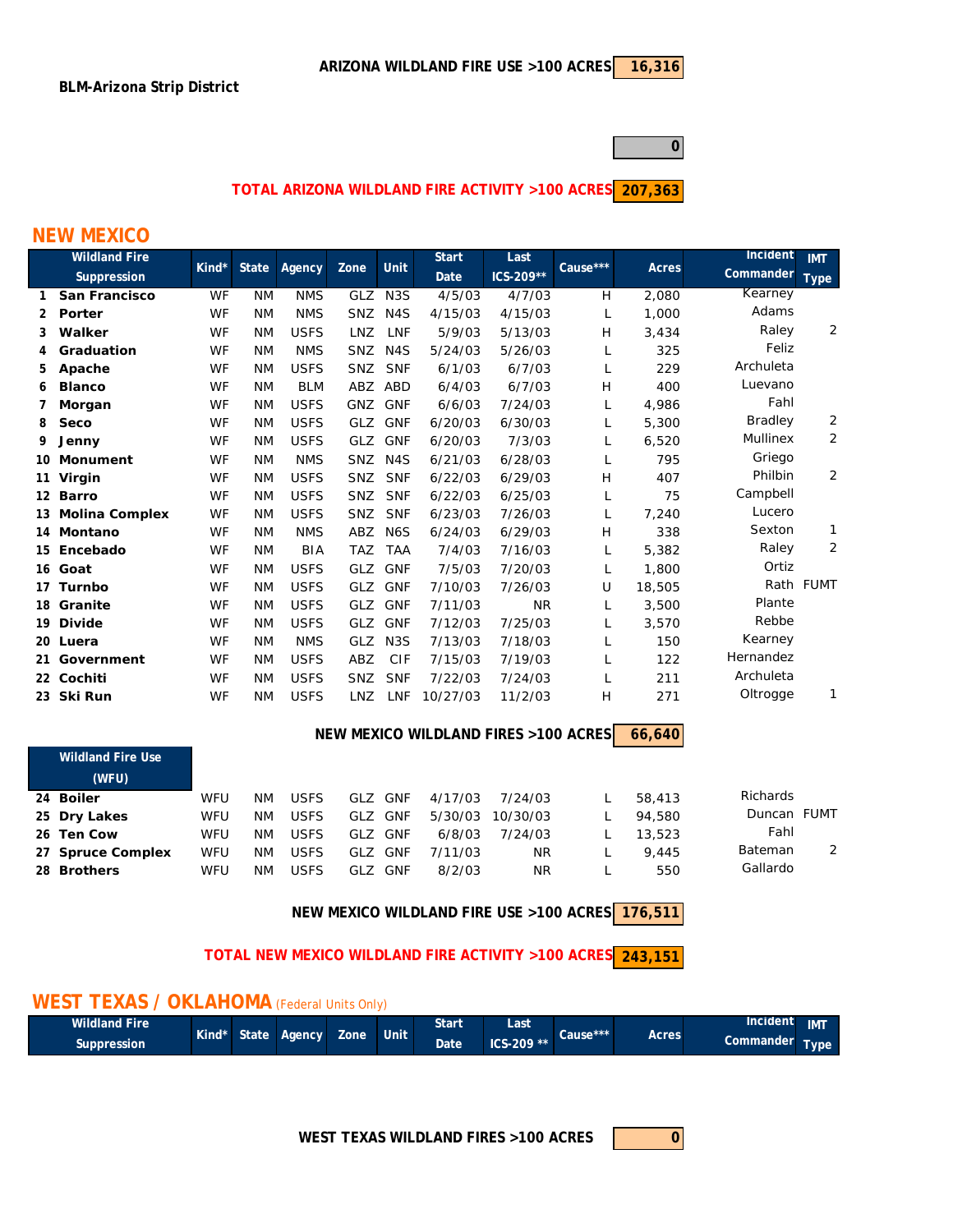**0**

#### **207,363 TOTAL ARIZONA WILDLAND FIRE ACTIVITY >100 ACRES**

### **NEW MEXICO**

|    | <b>Wildland Fire</b> |       |              |             |            |                  | <b>Start</b> | Last      | Cause*** |        | Incident        | <b>IMT</b>     |
|----|----------------------|-------|--------------|-------------|------------|------------------|--------------|-----------|----------|--------|-----------------|----------------|
|    | Suppression          | Kind* | <b>State</b> | Agency      | Zone       | <b>Unit</b>      | Date         | ICS-209** |          | Acres  | Commander       | <b>Type</b>    |
| 1  | <b>San Francisco</b> | WF    | <b>NM</b>    | <b>NMS</b>  | GLZ        | N <sub>3</sub> S | 4/5/03       | 4/7/03    | H        | 2,080  | Kearney         |                |
| 2  | Porter               | WF    | <b>NM</b>    | <b>NMS</b>  | <b>SNZ</b> | N <sub>4</sub> S | 4/15/03      | 4/15/03   | L        | 1,000  | Adams           |                |
| 3  | Walker               | WF    | <b>NM</b>    | <b>USFS</b> | <b>LNZ</b> | LNF              | 5/9/03       | 5/13/03   | H        | 3,434  | Raley           | 2              |
|    | Graduation           | WF    | <b>NM</b>    | <b>NMS</b>  | <b>SNZ</b> | N <sub>4</sub> S | 5/24/03      | 5/26/03   | L        | 325    | Feliz           |                |
| 5. | Apache               | WF    | <b>NM</b>    | <b>USFS</b> | <b>SNZ</b> | <b>SNF</b>       | 6/1/03       | 6/7/03    | L        | 229    | Archuleta       |                |
| 6  | <b>Blanco</b>        | WF    | <b>NM</b>    | <b>BLM</b>  | ABZ        | ABD              | 6/4/03       | 6/7/03    | H        | 400    | Luevano         |                |
|    | Morgan               | WF    | <b>NM</b>    | <b>USFS</b> | GNZ        | <b>GNF</b>       | 6/6/03       | 7/24/03   | L        | 4.986  | Fahl            |                |
| 8  | Seco                 | WF    | <b>NM</b>    | <b>USFS</b> | <b>GLZ</b> | <b>GNF</b>       | 6/20/03      | 6/30/03   | L        | 5,300  | Bradley         | $\overline{a}$ |
| 9  | Jenny                | WF    | <b>NM</b>    | <b>USFS</b> | GLZ        | <b>GNF</b>       | 6/20/03      | 7/3/03    |          | 6,520  | <b>Mullinex</b> | 2              |
|    | 10 Monument          | WF    | <b>NM</b>    | <b>NMS</b>  | <b>SNZ</b> | N <sub>4</sub> S | 6/21/03      | 6/28/03   | L        | 795    | Griego          |                |
|    | 11 Virgin            | WF    | <b>NM</b>    | <b>USFS</b> | <b>SNZ</b> | <b>SNF</b>       | 6/22/03      | 6/29/03   | H        | 407    | Philbin         | 2              |
|    | 12 Barro             | WF    | <b>NM</b>    | <b>USFS</b> | SNZ        | <b>SNF</b>       | 6/22/03      | 6/25/03   | L        | 75     | Campbell        |                |
|    | 13 Molina Complex    | WF    | <b>NM</b>    | <b>USFS</b> | SNZ        | <b>SNF</b>       | 6/23/03      | 7/26/03   | L        | 7,240  | Lucero          |                |
|    | 14 Montano           | WF    | <b>NM</b>    | <b>NMS</b>  | ABZ        | N <sub>6</sub> S | 6/24/03      | 6/29/03   | H        | 338    | Sexton          | 1              |
|    | 15 Encebado          | WF    | <b>NM</b>    | <b>BIA</b>  | <b>TAZ</b> | <b>TAA</b>       | 7/4/03       | 7/16/03   |          | 5,382  | Raley           | 2              |
|    | 16 Goat              | WF    | <b>NM</b>    | <b>USFS</b> | GLZ        | <b>GNF</b>       | 7/5/03       | 7/20/03   | L        | 1,800  | Ortiz           |                |
|    | 17 Turnbo            | WF    | <b>NM</b>    | <b>USFS</b> | <b>GLZ</b> | <b>GNF</b>       | 7/10/03      | 7/26/03   | U        | 18,505 |                 | Rath FUMT      |
|    | 18 Granite           | WF    | <b>NM</b>    | <b>USFS</b> | GLZ        | <b>GNF</b>       | 7/11/03      | <b>NR</b> | L        | 3,500  | Plante          |                |
|    | 19 Divide            | WF    | <b>NM</b>    | <b>USFS</b> | GLZ        | <b>GNF</b>       | 7/12/03      | 7/25/03   |          | 3,570  | Rebbe           |                |
|    | 20 Luera             | WF    | <b>NM</b>    | <b>NMS</b>  | <b>GLZ</b> | N <sub>3</sub> S | 7/13/03      | 7/18/03   | L        | 150    | Kearney         |                |
|    | 21 Government        | WF    | <b>NM</b>    | <b>USFS</b> | ABZ        | CIF              | 7/15/03      | 7/19/03   | L        | 122    | Hernandez       |                |
|    | 22 Cochiti           | WF    | <b>NM</b>    | <b>USFS</b> | <b>SNZ</b> | <b>SNF</b>       | 7/22/03      | 7/24/03   | L        | 211    | Archuleta       |                |
|    | 23 Ski Run           | WF    | <b>NM</b>    | <b>USFS</b> | LNZ        | LNF              | 10/27/03     | 11/2/03   | H        | 271    | Oltrogge        | 1              |

#### **66,640 NEW MEXICO WILDLAND FIRES >100 ACRES**

| <b>Wildland Fire Use</b> |     |    |             |     |            |         |          |        |             |   |
|--------------------------|-----|----|-------------|-----|------------|---------|----------|--------|-------------|---|
| (WFU)                    |     |    |             |     |            |         |          |        |             |   |
| 24 Boiler                | WFU | ΝM | <b>USFS</b> | GLZ | GNF        | 4/17/03 | 7/24/03  | 58,413 | Richards    |   |
| 25 Dry Lakes             | WFU | ΝM | <b>USFS</b> | GLZ | <b>GNF</b> | 5/30/03 | 10/30/03 | 94,580 | Duncan FUMT |   |
| 26 Ten Cow               | WFU | ΝM | <b>USFS</b> | GLZ | GNF        | 6/8/03  | 7/24/03  | 13,523 | Fahl        |   |
| 27 Spruce Complex        | WFU | ΝM | <b>USFS</b> | GLZ | GNF        | 7/11/03 | ΝR       | 9.445  | Bateman     | 2 |
| 28 Brothers              | WFU | ΝM | <b>USFS</b> | GLZ | GNF        | 8/2/03  | ΝR       | 550    | Gallardo    |   |

**176,511 NEW MEXICO WILDLAND FIRE USE >100 ACRES**

**243,151 TOTAL NEW MEXICO WILDLAND FIRE ACTIVITY >100 ACRES**

## **WEST TEXAS / OKLAHOMA** (Federal Units Only)

| <b>Wildland Fire</b> |  | Kind* State Agency | Zone | <b>Unit</b> | Start | Last         |          |       | Incident  | <b>IMT</b> |
|----------------------|--|--------------------|------|-------------|-------|--------------|----------|-------|-----------|------------|
| Suppression          |  |                    |      |             | Date  | $ICS-209$ ** | Cause*** | Acres | Commander | Гуре       |